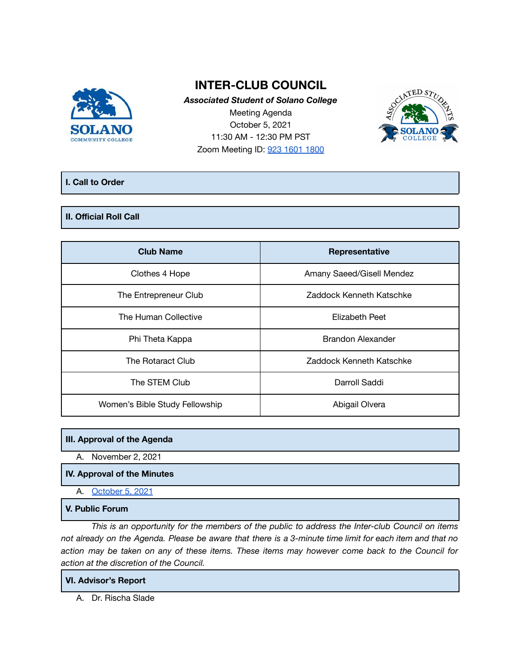

# **INTER-CLUB COUNCIL**

*Associated Student of Solano College* Meeting Agenda October 5, 2021 11:30 AM - 12:30 PM PST Zoom Meeting ID: 923 1601 [1800](https://cccconfer.zoom.us/j/92316011800)



# **I. Call to Order**

# **II. Official Roll Call**

| <b>Club Name</b>               | Representative            |
|--------------------------------|---------------------------|
| Clothes 4 Hope                 | Amany Saeed/Gisell Mendez |
| The Entrepreneur Club          | Zaddock Kenneth Katschke  |
| The Human Collective           | Elizabeth Peet            |
| Phi Theta Kappa                | Brandon Alexander         |
| The Rotaract Club              | Zaddock Kenneth Katschke  |
| The STEM Club                  | Darroll Saddi             |
| Women's Bible Study Fellowship | Abigail Olvera            |

## **III. Approval of the Agenda**

A. November 2, 2021

# **IV. Approval of the Minutes**

A. [October](https://docs.google.com/document/d/1zC2MQMepgFb3WP_ihjs3aObQJkvoqv4xvJ16zSalQzk/edit) 5, 2021

# **V. Public Forum**

*This is an opportunity for the members of the public to address the Inter-club Council on items* not already on the Agenda. Please be aware that there is a 3-minute time limit for each item and that no action may be taken on any of these items. These items may however come back to the Council for *action at the discretion of the Council.*

## **VI. Advisor's Report**

A. Dr. Rischa Slade